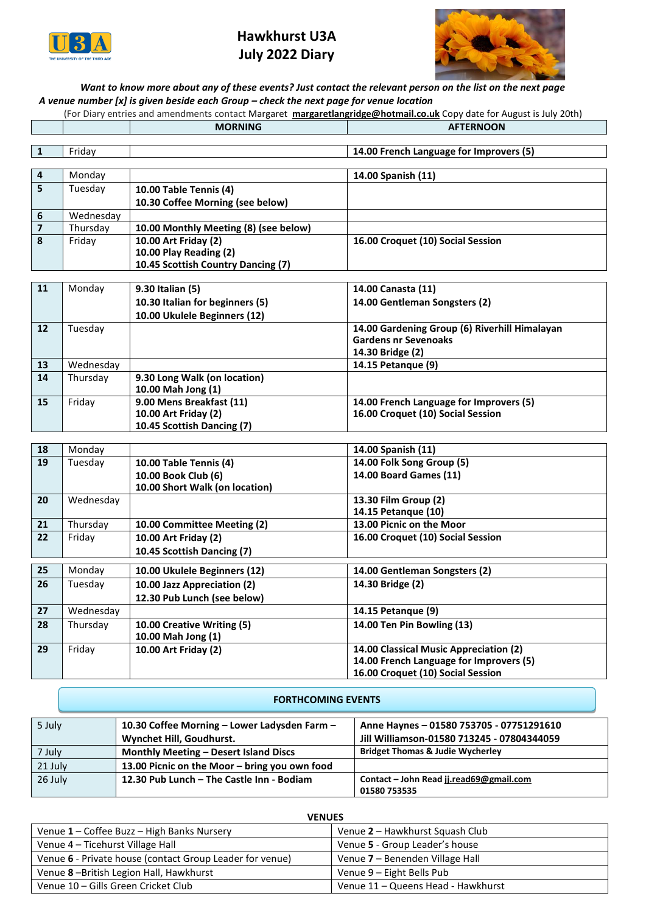

# **Hawkhurst U3A July 2022 Diary**



# *Want to know more about any of these events? Just contact the relevant person on the list on the next page A venue number [x] is given beside each Group – check the next page for venue location*

(For Diary entries and amendments contact Margaret **[margaretlangridge@hotmail.co.uk](mailto:margaretlangridge@hotmail.co.uk)** Copy date for August is July 20th) **MORNING AFTERNOON**

|                         | Friday    |                                       | 14.00 French Language for Improvers (5)                               |
|-------------------------|-----------|---------------------------------------|-----------------------------------------------------------------------|
|                         |           |                                       |                                                                       |
| $\overline{4}$          | Monday    |                                       | 14.00 Spanish (11)                                                    |
| 5                       | Tuesday   | 10.00 Table Tennis (4)                |                                                                       |
|                         |           | 10.30 Coffee Morning (see below)      |                                                                       |
| 6                       | Wednesday |                                       |                                                                       |
| $\overline{\mathbf{z}}$ | Thursday  | 10.00 Monthly Meeting (8) (see below) |                                                                       |
| 8                       | Friday    | 10.00 Art Friday (2)                  | 16.00 Croquet (10) Social Session                                     |
|                         |           | 10.00 Play Reading (2)                |                                                                       |
|                         |           | 10.45 Scottish Country Dancing (7)    |                                                                       |
|                         |           |                                       |                                                                       |
| 11                      | Monday    | 9.30 Italian (5)                      | 14.00 Canasta (11)                                                    |
|                         |           | 10.30 Italian for beginners (5)       | 14.00 Gentleman Songsters (2)                                         |
|                         |           | 10.00 Ukulele Beginners (12)          |                                                                       |
| $12 \overline{ }$       | Tuesday   |                                       | 14.00 Gardening Group (6) Riverhill Himalayan<br>Gardone nr Sovonnake |

|    |           |                              | <b>Gardens nr Sevenoaks</b>             |
|----|-----------|------------------------------|-----------------------------------------|
|    |           |                              | 14.30 Bridge (2)                        |
| 13 | Wednesday |                              | 14.15 Petangue (9)                      |
| 14 | Thursday  | 9.30 Long Walk (on location) |                                         |
|    |           | 10.00 Mah Jong (1)           |                                         |
| 15 | Fridav    | 9.00 Mens Breakfast (11)     | 14.00 French Language for Improvers (5) |
|    |           | 10.00 Art Friday (2)         | 16.00 Croquet (10) Social Session       |
|    |           | 10.45 Scottish Dancing (7)   |                                         |

| 18 | Monday    |                                | 14.00 Spanish (11)                      |
|----|-----------|--------------------------------|-----------------------------------------|
| 19 | Tuesday   | 10.00 Table Tennis (4)         | 14.00 Folk Song Group (5)               |
|    |           | 10.00 Book Club (6)            | 14.00 Board Games (11)                  |
|    |           | 10.00 Short Walk (on location) |                                         |
| 20 | Wednesday |                                | 13.30 Film Group (2)                    |
|    |           |                                | 14.15 Petangue (10)                     |
| 21 | Thursday  | 10.00 Committee Meeting (2)    | 13.00 Picnic on the Moor                |
| 22 | Friday    | 10.00 Art Friday (2)           | 16.00 Croquet (10) Social Session       |
|    |           | 10.45 Scottish Dancing (7)     |                                         |
|    |           |                                |                                         |
| 25 | Monday    | 10.00 Ukulele Beginners (12)   | 14.00 Gentleman Songsters (2)           |
| 26 | Tuesday   | 10.00 Jazz Appreciation (2)    | 14.30 Bridge (2)                        |
|    |           | 12.30 Pub Lunch (see below)    |                                         |
| 27 | Wednesday |                                | 14.15 Petangue (9)                      |
| 28 | Thursday  | 10.00 Creative Writing (5)     | 14.00 Ten Pin Bowling (13)              |
|    |           | 10.00 Mah Jong (1)             |                                         |
| 29 | Friday    | 10.00 Art Friday (2)           | 14.00 Classical Music Appreciation (2)  |
|    |           |                                | 14.00 French Language for Improvers (5) |
|    |           |                                | 16.00 Croquet (10) Social Session       |

### **FORTHCOMING EVENTS**

| 5 July  | 10.30 Coffee Morning - Lower Ladysden Farm -  | Anne Haynes - 01580 753705 - 07751291610    |
|---------|-----------------------------------------------|---------------------------------------------|
|         | Wynchet Hill, Goudhurst.                      | Jill Williamson-01580 713245 - 07804344059  |
| 7 July  | <b>Monthly Meeting - Desert Island Discs</b>  | <b>Bridget Thomas &amp; Judie Wycherley</b> |
| 21 July | 13.00 Picnic on the Moor – bring you own food |                                             |
| 26 July | 12.30 Pub Lunch - The Castle Inn - Bodiam     | Contact - John Read jj.read69@gmail.com     |
|         |                                               | 01580 753535                                |

| ,                                                        |                                    |  |  |
|----------------------------------------------------------|------------------------------------|--|--|
| Venue 1 – Coffee Buzz – High Banks Nursery               | Venue 2 - Hawkhurst Squash Club    |  |  |
| Venue 4 – Ticehurst Village Hall                         | Venue 5 - Group Leader's house     |  |  |
| Venue 6 - Private house (contact Group Leader for venue) | Venue 7 – Benenden Village Hall    |  |  |
| Venue 8-British Legion Hall, Hawkhurst                   | Venue 9 – Eight Bells Pub          |  |  |
| Venue 10 - Gills Green Cricket Club                      | Venue 11 - Queens Head - Hawkhurst |  |  |

### **VENUES**